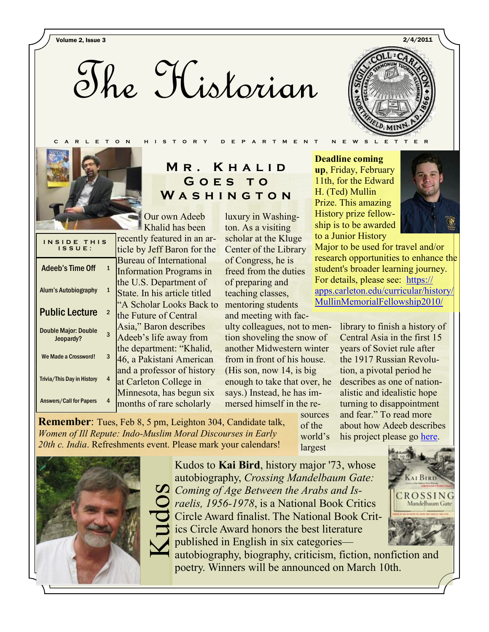Volume 2, Issue 3 2/4/2011





| INSIDE THIS<br>ISSUE:                    |              |
|------------------------------------------|--------------|
| <b>Adeeb's Time Off</b>                  | 1            |
| Alum's Autobiography                     | $\mathbf{1}$ |
| <b>Public Lecture</b>                    | 2            |
| <b>Double Major: Double</b><br>Jeopardy? | 3            |
| We Made a Crossword!                     | 3            |
| <b>Trivia/This Day in History</b>        | 4            |
| <b>Answers/Call for Papers</b>           | 4            |

# **M r . K h a l i d G o e s t o W a s h i n g t o n**

**C A R L E T O N H I S T O R Y D E P A R T M E N T N E W S L E T T E R**

Our own Adeeb Khalid has been

recently featured in an article by Jeff Baron for the Bureau of International Information Programs in the U.S. Department of State. In his article titled "A Scholar Looks Back to the Future of Central Asia," Baron describes Adeeb's life away from the department: "Khalid, 46, a Pakistani American and a professor of history at Carleton College in Minnesota, has begun six months of rare scholarly

*Women of Ill Repute: Indo-Muslim Moral Discourses in Early* 

luxury in Washington. As a visiting scholar at the Kluge Center of the Library of Congress, he is freed from the duties of preparing and teaching classes, mentoring students and meeting with faculty colleagues, not to mention shoveling the snow of another Midwestern winter from in front of his house. (His son, now 14, is big enough to take that over, he says.) Instead, he has im-

mersed himself in the resources **Remember**: Tues, Feb 8, 5 pm, Leighton 304, Candidate talk,

of the world's largest

**Deadline coming up**, Friday, February 11th, for the Edward H. (Ted) Mullin Prize. This amazing History prize fellowship is to be awarded to a Junior History



Major to be used for travel and/or research opportunities to enhance the student's broader learning journey. For details, please see: [https://](https://apps.carleton.edu/curricular/history/MullinMemorialFellowship2010/) [apps.carleton.edu/curricular/history/](https://apps.carleton.edu/curricular/history/MullinMemorialFellowship2010/) [MullinMemorialFellowship2010/](https://apps.carleton.edu/curricular/history/MullinMemorialFellowship2010/)

> library to finish a history of Central Asia in the first 15 years of Soviet rule after the 1917 Russian Revolution, a pivotal period he describes as one of nationalistic and idealistic hope turning to disappointment and fear." To read more about how Adeeb describes his project please go [here.](http://www.america.gov/st/peopleplace-english/2011/January/20110131160508ffej0.196911.html)



Kudos to **Kai Bird**, history major '73, whose autobiography, *Crossing Mandelbaum Gate: Coming of Age Between the Arabs and Is-*<br> *Caelis, 1956-1978,* is a National Book Crit<br>
Circle Award finalist. The National Book<br>
ics Circle Award honors the best literature<br>
published in English in six categories—<br>
autob *raelis, 1[956-1978](callto:+1956-1978)*, is a National Book Critics Circle Award finalist. The National Book Critics Circle Award honors the best literature published in English in six categories—



autobiography, biography, criticism, fiction, nonfiction and poetry. Winners will be announced on March 10th.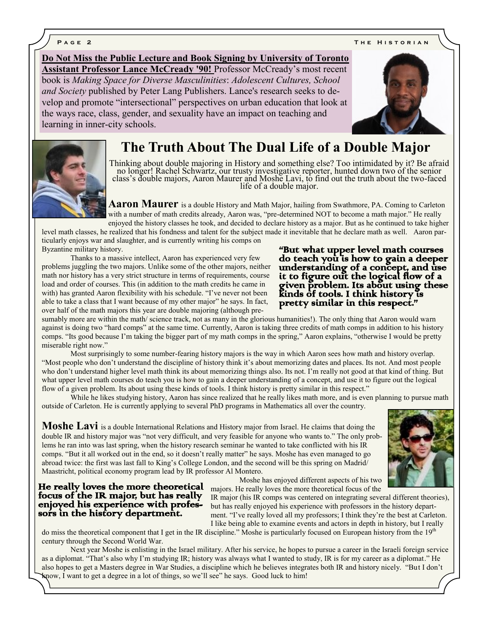**P** a g e 2 **T h e H i s t o r i a n e 1 a n e 1 a n e 1 a n e 1 a n e 1 a n e 1 a n e 1 a n e 1 a n e 1 a n e 1 a n e 1 a n e 1 a n e 1 a n e 1 a n e 1 a n e 1 a n e 1 a n e 1 a n e 1 a n e 1 a n e 1 a n e 1 a n e 1 a n e** 

**Do Not Miss the Public Lecture and Book Signing by University of Toronto Assistant Professor Lance McCready '90!** Professor McCready's most recent book is *Making Space for Diverse Masculinities*: *Adolescent Cultures, School and Society* published by Peter Lang Publishers. Lance's research seeks to develop and promote "intersectional" perspectives on urban education that look at the ways race, class, gender, and sexuality have an impact on teaching and learning in inner-city schools.





# **The Truth About The Dual Life of a Double Major**

Thinking about double majoring in History and something else? Too intimidated by it? Be afraid no longer! Rachel Schwartz, our trusty investigative reporter, hunted down two of the senior class's double majors, Aaron Maurer and Moshe Lavi, to find out the truth about the two-faced life of a double major.

**Aaron Maurer** is a double History and Math Major, hailing from Swathmore, PA. Coming to Carleton with a number of math credits already, Aaron was, "pre-determined NOT to become a math major." He really enjoyed the history classes he took, and decided to declare history as a major. But as he continued to take higher

level math classes, he realized that his fondness and talent for the subject made it inevitable that he declare math as well. Aaron particularly enjoys war and slaughter, and is currently writing his comps on Byzantine military history.

Thanks to a massive intellect, Aaron has experienced very few problems juggling the two majors. Unlike some of the other majors, neither math nor history has a very strict structure in terms of requirements, course load and order of courses. This (in addition to the math credits he came in with) has granted Aaron flexibility with his schedule. "I've never not been able to take a class that I want because of my other major" he says. In fact, over half of the math majors this year are double majoring (although pre-

#### "But what upper level math courses do teach you is how to gain a deeper understanding of a concept, and use it to figure out the logical flow of a given problem. Its about using these kinds of tools. I think history is pretty similar in this respect."

sumably more are within the math/ science track, not as many in the glorious humanities!). The only thing that Aaron would warn against is doing two "hard comps" at the same time. Currently, Aaron is taking three credits of math comps in addition to his history comps. "Its good because I'm taking the bigger part of my math comps in the spring," Aaron explains, "otherwise I would be pretty miserable right now."

Most surprisingly to some number-fearing history majors is the way in which Aaron sees how math and history overlap. "Most people who don't understand the discipline of history think it's about memorizing dates and places. Its not. And most people who don't understand higher level math think its about memorizing things also. Its not. I'm really not good at that kind of thing. But what upper level math courses do teach you is how to gain a deeper understanding of a concept, and use it to figure out the logical flow of a given problem. Its about using these kinds of tools. I think history is pretty similar in this respect."

While he likes studying history, Aaron has since realized that he really likes math more, and is even planning to pursue math outside of Carleton. He is currently applying to several PhD programs in Mathematics all over the country.

**Moshe Lavi** is a double International Relations and History major from Israel. He claims that doing the double IR and history major was "not very difficult, and very feasible for anyone who wants to." The only problems he ran into was last spring, when the history research seminar he wanted to take conflicted with his IR comps. "But it all worked out in the end, so it doesn't really matter" he says. Moshe has even managed to go abroad twice: the first was last fall to King's College London, and the second will be this spring on Madrid/ Maastricht, political economy program lead by IR professor Al Montero.



Moshe has enjoyed different aspects of his two majors. He really loves the more theoretical focus of the

He really loves the more theoretical focus of the IR major, but has really enjoyed his experience with professors in the history department.

IR major (his IR comps was centered on integrating several different theories), but has really enjoyed his experience with professors in the history department. "I've really loved all my professors; I think they're the best at Carleton. I like being able to examine events and actors in depth in history, but I really

do miss the theoretical component that I get in the IR discipline." Moshe is particularly focused on European history from the 19<sup>th</sup> century through the Second World War.

Next year Moshe is enlisting in the Israel military. After his service, he hopes to pursue a career in the Israeli foreign service as a diplomat. "That's also why I'm studying IR; history was always what I wanted to study, IR is for my career as a diplomat." He also hopes to get a Masters degree in War Studies, a discipline which he believes integrates both IR and history nicely. "But I don't know, I want to get a degree in a lot of things, so we'll see" he says. Good luck to him!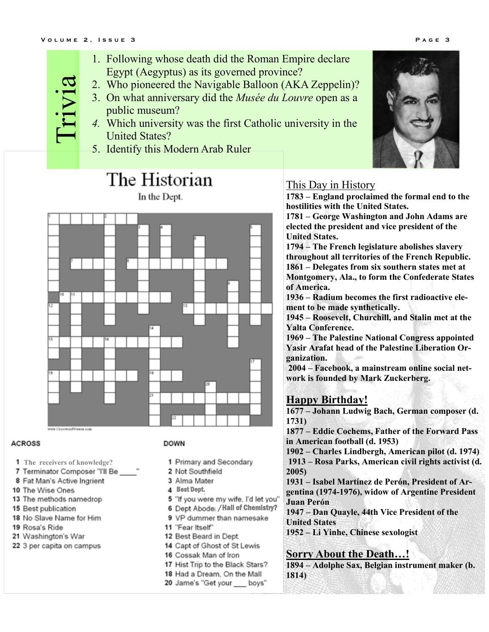- 1. Following whose death did the Roman Empire declare Egypt (Aegyptus) as its governed province?
- 2. Who pioneered the Navigable Balloon (AKA Zeppelin)? Trivia
	- 3. On what anniversary did the *Musée du Louvre* open as a public museum?
	- *4.* Which university was the first Catholic university in the United States?
	- 5. Identify this Modern Arab Ruler

# The Historian

In the Dept.



#### **ACROSS**

- **The receivers of knowledge?**
- 7 Terminator Composer "I'll Be
- 8 Fat Man's Active Ingrient
- 10 The Wise Ones
- 13 The methods namedrop
- 15 Best publication
- 18 No Slave Name for Him
- 19 Rosa's Ride
- 21 Washington's War
- 22 3 per capita on campus

#### **DOWN**

- 1 Primary and Secondary
- 2 Not Southfield
- 3 Alma Mater
- Best Dept.
- 5 "If you were my wife, I'd let you"
- 6 Dept Abodel / Hall of Chemistry?
- 9 VP dummer than namesake
- 11 "Fear Itself"
- 12 Best Beard in Dept.
- 14 Capt of Ghost of St Lewis
- 16 Cossak Man of Iron
- 17 Hist Trip to the Black Stars?
- 18 Had a Dream, On the Mall
- 20 Jame's "Get your boys"

## This Day in History

**1783 – England proclaimed the formal end to the hostilities with the United States.**

**1781 – George Washington and John Adams are elected the president and vice president of the United States.**

**1794 – The French legislature abolishes slavery throughout all territories of the French Republic. 1861 – Delegates from six southern states met at Montgomery, Ala., to form the Confederate States of America.**

**[1936](http://en.wikipedia.org/wiki/1936) – Radium becomes the first radioactive element to be made synthetically.**

**1945 – Roosevelt, Churchill, and Stalin met at the Yalta Conference.**

**1969 – The Palestine National Congress appointed Yasir Arafat head of the Palestine Liberation Organization.**

**2004 – [Facebook,](http://en.wikipedia.org/wiki/Facebook) a mainstream online social network is founded by Mark Zuckerberg.**

## **Happy Birthday!**

**1677 – Johann Ludwig Bach, German composer (d. 1731)**

**1877 – Eddie Cochems, Father of the Forward Pass in American football (d. 1953)**

**1902 – Charles Lindbergh, American pilot (d. 1974) 1913 – Rosa Parks, American civil rights activist (d. 2005)**

**1931 – Isabel Martínez de Perón, President of Argentina (1974-1976), widow of Argentine President Juan Perón**

**1947 – Dan Quayle, 44th Vice President of the United States**

**1952 – Li Yinhe, Chinese sexologist**

### **Sorry About the Death…!**

**1894 – Adolphe Sax, Belgian instrument maker (b. 1814)**